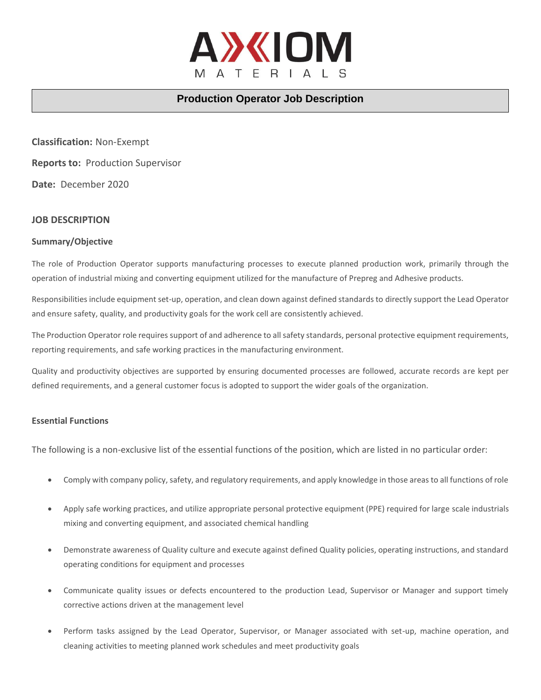

# **Production Operator Job Description**

**Classification:** Non-Exempt **Reports to:** Production Supervisor **Date:** December 2020

## **JOB DESCRIPTION**

#### **Summary/Objective**

The role of Production Operator supports manufacturing processes to execute planned production work, primarily through the operation of industrial mixing and converting equipment utilized for the manufacture of Prepreg and Adhesive products.

Responsibilities include equipment set-up, operation, and clean down against defined standards to directly support the Lead Operator and ensure safety, quality, and productivity goals for the work cell are consistently achieved.

The Production Operator role requires support of and adherence to all safety standards, personal protective equipment requirements, reporting requirements, and safe working practices in the manufacturing environment.

Quality and productivity objectives are supported by ensuring documented processes are followed, accurate records are kept per defined requirements, and a general customer focus is adopted to support the wider goals of the organization.

#### **Essential Functions**

The following is a non-exclusive list of the essential functions of the position, which are listed in no particular order:

- Comply with company policy, safety, and regulatory requirements, and apply knowledge in those areas to all functions of role
- Apply safe working practices, and utilize appropriate personal protective equipment (PPE) required for large scale industrials mixing and converting equipment, and associated chemical handling
- Demonstrate awareness of Quality culture and execute against defined Quality policies, operating instructions, and standard operating conditions for equipment and processes
- Communicate quality issues or defects encountered to the production Lead, Supervisor or Manager and support timely corrective actions driven at the management level
- Perform tasks assigned by the Lead Operator, Supervisor, or Manager associated with set-up, machine operation, and cleaning activities to meeting planned work schedules and meet productivity goals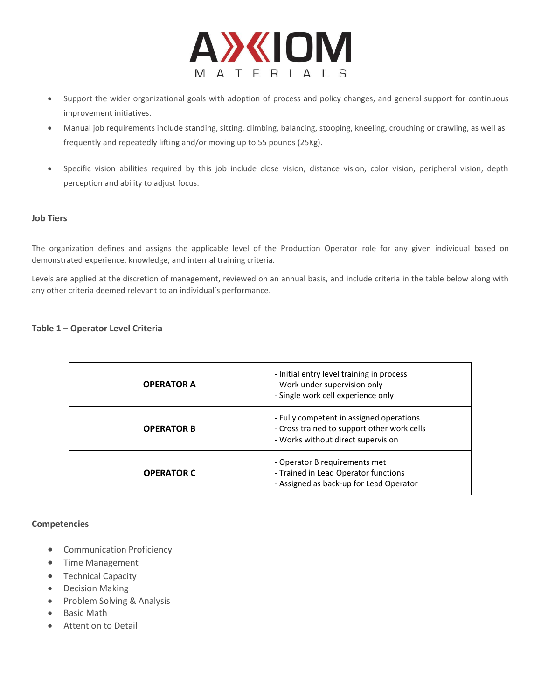

- Support the wider organizational goals with adoption of process and policy changes, and general support for continuous improvement initiatives.
- Manual job requirements include standing, sitting, climbing, balancing, stooping, kneeling, crouching or crawling, as well as frequently and repeatedly lifting and/or moving up to 55 pounds (25Kg).
- Specific vision abilities required by this job include close vision, distance vision, color vision, peripheral vision, depth perception and ability to adjust focus.

## **Job Tiers**

The organization defines and assigns the applicable level of the Production Operator role for any given individual based on demonstrated experience, knowledge, and internal training criteria.

Levels are applied at the discretion of management, reviewed on an annual basis, and include criteria in the table below along with any other criteria deemed relevant to an individual's performance.

## **Table 1 – Operator Level Criteria**

| <b>OPERATOR A</b> | - Initial entry level training in process<br>- Work under supervision only<br>- Single work cell experience only              |
|-------------------|-------------------------------------------------------------------------------------------------------------------------------|
| <b>OPERATOR B</b> | - Fully competent in assigned operations<br>- Cross trained to support other work cells<br>- Works without direct supervision |
| <b>OPERATOR C</b> | - Operator B requirements met<br>- Trained in Lead Operator functions<br>- Assigned as back-up for Lead Operator              |

#### **Competencies**

- Communication Proficiency
- Time Management
- Technical Capacity
- Decision Making
- Problem Solving & Analysis
- Basic Math
- Attention to Detail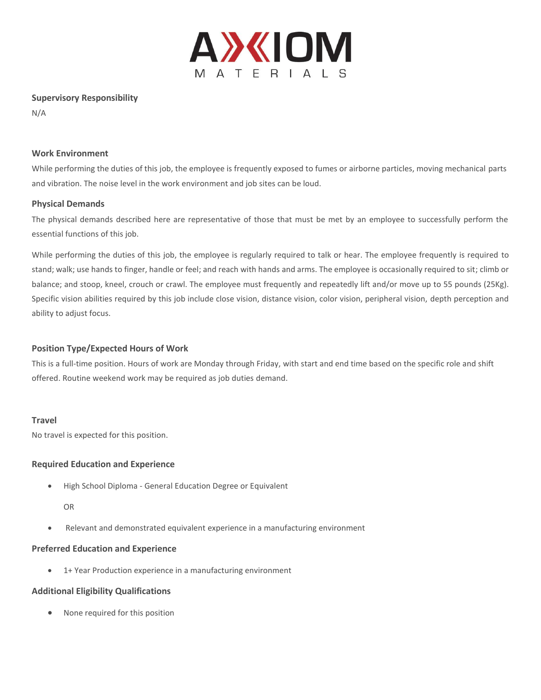

### **Supervisory Responsibility**

N/A

## **Work Environment**

While performing the duties of this job, the employee is frequently exposed to fumes or airborne particles, moving mechanical parts and vibration. The noise level in the work environment and job sites can be loud.

## **Physical Demands**

The physical demands described here are representative of those that must be met by an employee to successfully perform the essential functions of this job.

While performing the duties of this job, the employee is regularly required to talk or hear. The employee frequently is required to stand; walk; use hands to finger, handle or feel; and reach with hands and arms. The employee is occasionally required to sit; climb or balance; and stoop, kneel, crouch or crawl. The employee must frequently and repeatedly lift and/or move up to 55 pounds (25Kg). Specific vision abilities required by this job include close vision, distance vision, color vision, peripheral vision, depth perception and ability to adjust focus.

## **Position Type/Expected Hours of Work**

This is a full-time position. Hours of work are Monday through Friday, with start and end time based on the specific role and shift offered. Routine weekend work may be required as job duties demand.

#### **Travel**

No travel is expected for this position.

## **Required Education and Experience**

• High School Diploma - General Education Degree or Equivalent

OR

• Relevant and demonstrated equivalent experience in a manufacturing environment

#### **Preferred Education and Experience**

• 1+ Year Production experience in a manufacturing environment

#### **Additional Eligibility Qualifications**

• None required for this position